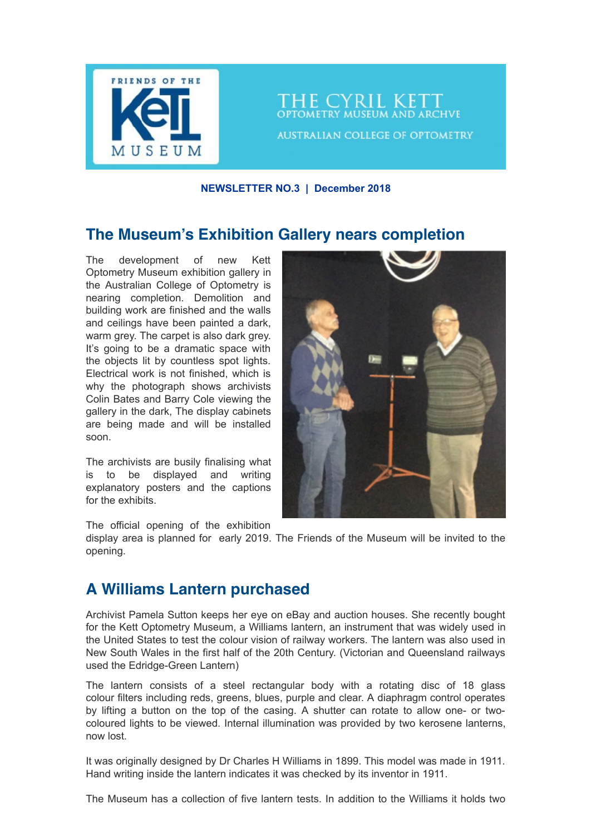

THE CYRIL KETT **OPTOMETRY MUSEUM AND ARCHVE AUSTRALIAN COLLEGE OF OPTOMETRY** 

**NEWSLETTER NO.3 | December 2018**

## **The Museum's Exhibition Gallery nears completion**

The development of new Kett Optometry Museum exhibition gallery in the Australian College of Optometry is nearing completion. Demolition and building work are finished and the walls and ceilings have been painted a dark, warm grey. The carpet is also dark grey. It's going to be a dramatic space with the objects lit by countless spot lights. Electrical work is not finished, which is why the photograph shows archivists Colin Bates and Barry Cole viewing the gallery in the dark, The display cabinets are being made and will be installed soon.

The archivists are busily finalising what is to be displayed and writing explanatory posters and the captions for the exhibits.



The official opening of the exhibition

display area is planned for early 2019. The Friends of the Museum will be invited to the opening.

# **A Williams Lantern purchased**

Archivist Pamela Sutton keeps her eye on eBay and auction houses. She recently bought for the Kett Optometry Museum, a Williams lantern, an instrument that was widely used in the United States to test the colour vision of railway workers. The lantern was also used in New South Wales in the first half of the 20th Century. (Victorian and Queensland railways used the Edridge-Green Lantern)

The lantern consists of a steel rectangular body with a rotating disc of 18 glass colour filters including reds, greens, blues, purple and clear. A diaphragm control operates by lifting a button on the top of the casing. A shutter can rotate to allow one- or twocoloured lights to be viewed. Internal illumination was provided by two kerosene lanterns, now lost.

It was originally designed by Dr Charles H Williams in 1899. This model was made in 1911. Hand writing inside the lantern indicates it was checked by its inventor in 1911.

The Museum has a collection of five lantern tests. In addition to the Williams it holds two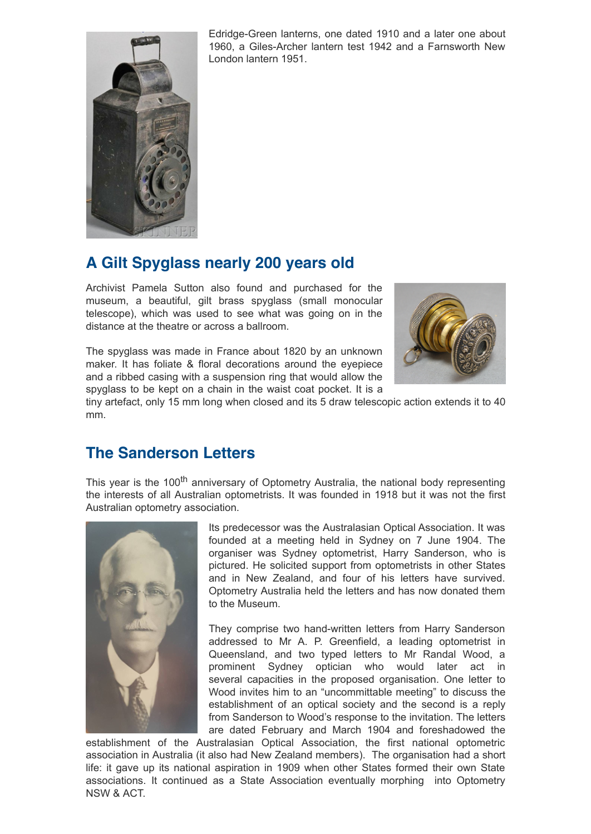

Edridge-Green lanterns, one dated 1910 and a later one about 1960, a Giles-Archer lantern test 1942 and a Farnsworth New London lantern 1951.

# **A Gilt Spyglass nearly 200 years old**

Archivist Pamela Sutton also found and purchased for the museum, a beautiful, gilt brass spyglass (small monocular telescope), which was used to see what was going on in the distance at the theatre or across a ballroom.

The spyglass was made in France about 1820 by an unknown maker. It has foliate & floral decorations around the eyepiece and a ribbed casing with a suspension ring that would allow the spyglass to be kept on a chain in the waist coat pocket. It is a



tiny artefact, only 15 mm long when closed and its 5 draw telescopic action extends it to 40 mm.

### **The Sanderson Letters**

This year is the 100<sup>th</sup> anniversary of Optometry Australia, the national body representing the interests of all Australian optometrists. It was founded in 1918 but it was not the first Australian optometry association.



Its predecessor was the Australasian Optical Association. It was founded at a meeting held in Sydney on 7 June 1904. The organiser was Sydney optometrist, Harry Sanderson, who is pictured. He solicited support from optometrists in other States and in New Zealand, and four of his letters have survived. Optometry Australia held the letters and has now donated them to the Museum.

They comprise two hand-written letters from Harry Sanderson addressed to Mr A. P. Greenfield, a leading optometrist in Queensland, and two typed letters to Mr Randal Wood, a prominent Sydney optician who would later act in several capacities in the proposed organisation. One letter to Wood invites him to an "uncommittable meeting" to discuss the establishment of an optical society and the second is a reply from Sanderson to Wood's response to the invitation. The letters are dated February and March 1904 and foreshadowed the

establishment of the Australasian Optical Association, the first national optometric association in Australia (it also had New Zealand members). The organisation had a short life: it gave up its national aspiration in 1909 when other States formed their own State associations. It continued as a State Association eventually morphing into Optometry NSW & ACT.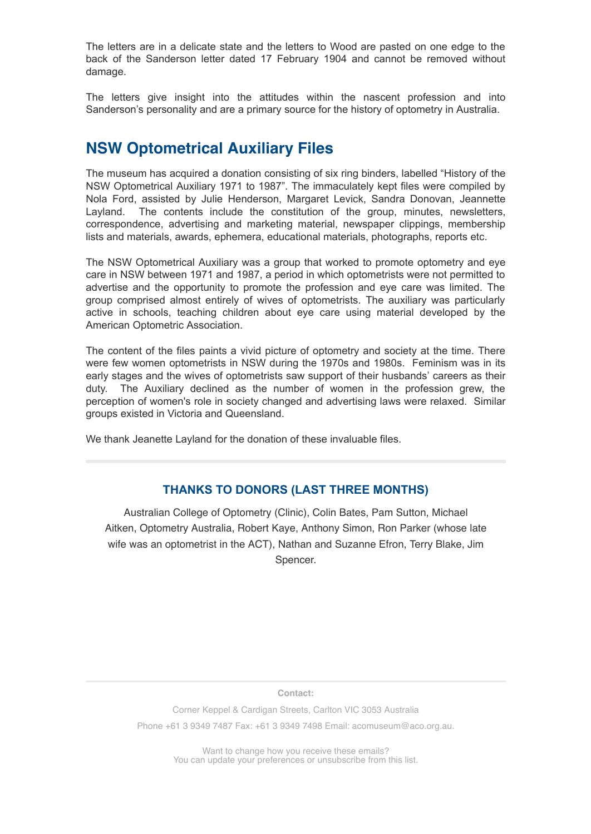The letters are in a delicate state and the letters to Wood are pasted on one edge to the back of the Sanderson letter dated 17 February 1904 and cannot be removed without damage.

The letters give insight into the attitudes within the nascent profession and into Sanderson's personality and are a primary source for the history of optometry in Australia.

## **NSW Optometrical Auxiliary Files**

The museum has acquired a donation consisting of six ring binders, labelled "History of the NSW Optometrical Auxiliary 1971 to 1987". The immaculately kept files were compiled by Nola Ford, assisted by Julie Henderson, Margaret Levick, Sandra Donovan, Jeannette Layland. The contents include the constitution of the group, minutes, newsletters, correspondence, advertising and marketing material, newspaper clippings, membership lists and materials, awards, ephemera, educational materials, photographs, reports etc.

The NSW Optometrical Auxiliary was a group that worked to promote optometry and eye care in NSW between 1971 and 1987, a period in which optometrists were not permitted to advertise and the opportunity to promote the profession and eye care was limited. The group comprised almost entirely of wives of optometrists. The auxiliary was particularly active in schools, teaching children about eye care using material developed by the American Optometric Association.

The content of the files paints a vivid picture of optometry and society at the time. There were few women optometrists in NSW during the 1970s and 1980s. Feminism was in its early stages and the wives of optometrists saw support of their husbands' careers as their duty. The Auxiliary declined as the number of women in the profession grew, the perception of women's role in society changed and advertising laws were relaxed. Similar groups existed in Victoria and Queensland.

We thank Jeanette Layland for the donation of these invaluable files.

#### **THANKS TO DONORS (LAST THREE MONTHS)**

Australian College of Optometry (Clinic), Colin Bates, Pam Sutton, Michael Aitken, Optometry Australia, Robert Kaye, Anthony Simon, Ron Parker (whose late wife was an optometrist in the ACT), Nathan and Suzanne Efron, Terry Blake, Jim Spencer.

**Contact:**

Corner Keppel & Cardigan Streets, Carlton VIC 3053 Australia

Phone +61 3 9349 7487 Fax: +61 3 9349 7498 Email: [acomuseum@aco.org.au.](mailto:acomuseum@aco.org.au)

Want to change how you receive these emails? You can [update your preferences](https://aco.us18.list-manage.com/profile?u=a3fb29c9fe0ae82bbcb3ef1b7&id=592b424584&e=[UNIQID]) or [unsubscribe from this list.](https://aco.us18.list-manage.com/unsubscribe?u=a3fb29c9fe0ae82bbcb3ef1b7&id=592b424584&e=[UNIQID]&c=7c9183c39d)